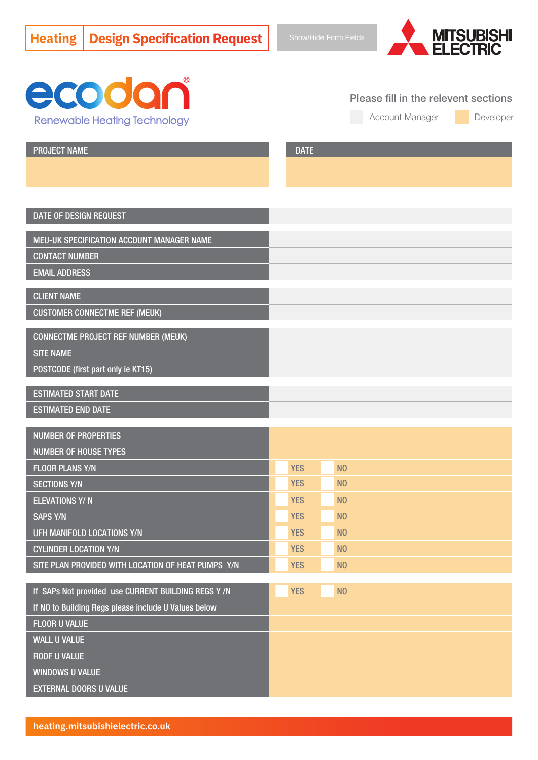



Please fill in the relevent sections

Account Manager

Developer

PROJECT NAME DATE AND DESCRIPTION OF PROJECT ASSESSMENT OF A SECOND PROJECT OF A SECOND DATE.

### DATE OF DESIGN REQUEST

MEU-UK SPECIFICATION ACCOUNT MANAGER NAME

CONTACT NUMBER

EMAIL ADDRESS

### CLIENT NAME

CUSTOMER CONNECTME REF (MEUK)

CONNECTME PROJECT REF NUMBER (MEUK)

SITE NAME

POSTCODE (first part only ie KT15)

ESTIMATED START DATE ESTIMATED END DATE

| <b>NUMBER OF PROPERTIES</b>                        |            |                |
|----------------------------------------------------|------------|----------------|
| <b>NUMBER OF HOUSE TYPES</b>                       |            |                |
| <b>FLOOR PLANS Y/N</b>                             | <b>YES</b> | N <sub>0</sub> |
| SECTIONS Y/N                                       | <b>YES</b> | N <sub>0</sub> |
| <b>ELEVATIONS Y/N</b>                              | <b>YES</b> | N <sub>0</sub> |
| <b>SAPS Y/N</b>                                    | <b>YES</b> | N <sub>0</sub> |
| UFH MANIFOLD LOCATIONS Y/N                         | <b>YES</b> | N <sub>0</sub> |
| <b>CYLINDER LOCATION Y/N</b>                       | <b>YES</b> | N <sub>0</sub> |
| SITE PLAN PROVIDED WITH LOCATION OF HEAT PUMPS Y/N | <b>YES</b> | N <sub>0</sub> |

| If SAPs Not provided use CURRENT BUILDING REGS Y/N   | <b>YES</b><br>N <sub>0</sub> |
|------------------------------------------------------|------------------------------|
| If NO to Building Regs please include U Values below |                              |
| <b>FLOOR U VALUE</b>                                 |                              |
| <b>WALL U VALUE</b>                                  |                              |
| <b>ROOF U VALUE</b>                                  |                              |
| <b>WINDOWS U VALUE</b>                               |                              |
| <b>EXTERNAL DOORS U VALUE</b>                        |                              |